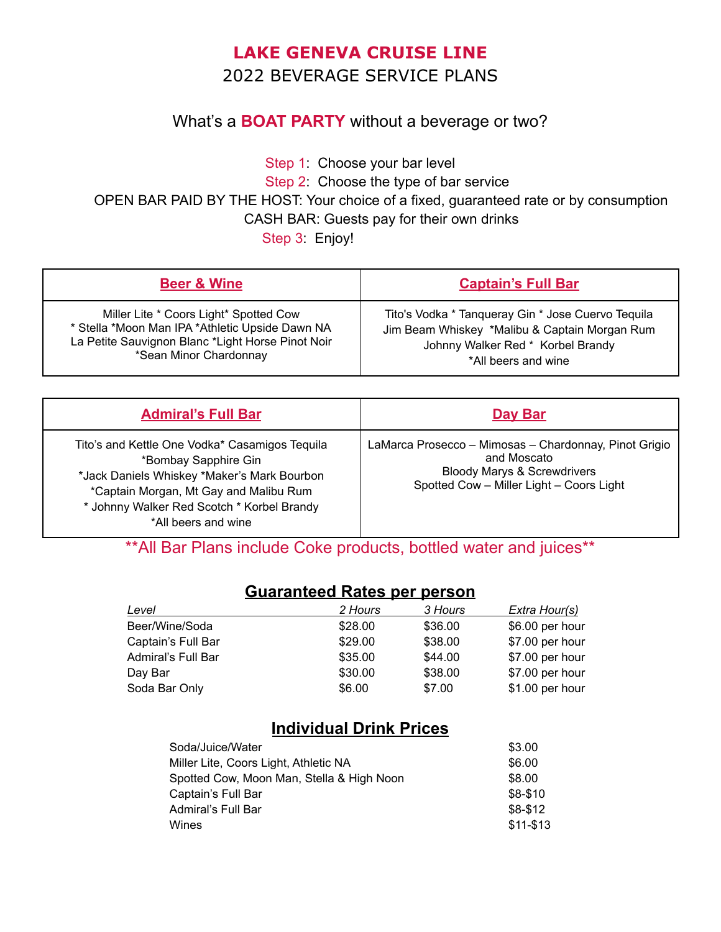# **LAKE GENEVA CRUISE LINE** 2022 BEVERAGE SERVICE PLANS

#### What's a **BOAT PARTY** without a beverage or two?

Step 1: Choose your bar level

Step 2: Choose the type of bar service

OPEN BAR PAID BY THE HOST: Your choice of a fixed, guaranteed rate or by consumption

CASH BAR: Guests pay for their own drinks

Step 3: Enjoy!

| <b>Beer &amp; Wine</b>                            | <b>Captain's Full Bar</b>                          |
|---------------------------------------------------|----------------------------------------------------|
| Miller Lite * Coors Light* Spotted Cow            | Tito's Vodka * Tanqueray Gin * Jose Cuervo Tequila |
| * Stella *Moon Man IPA *Athletic Upside Dawn NA   | Jim Beam Whiskey *Malibu & Captain Morgan Rum      |
| La Petite Sauvignon Blanc *Light Horse Pinot Noir | Johnny Walker Red * Korbel Brandy                  |
| *Sean Minor Chardonnay                            | *All beers and wine                                |

| <b>Admiral's Full Bar</b>                                                                                                                                                                                                            | Day Bar                                                                                                                                                    |
|--------------------------------------------------------------------------------------------------------------------------------------------------------------------------------------------------------------------------------------|------------------------------------------------------------------------------------------------------------------------------------------------------------|
| Tito's and Kettle One Vodka* Casamigos Tequila<br>*Bombay Sapphire Gin<br>*Jack Daniels Whiskey *Maker's Mark Bourbon<br>*Captain Morgan, Mt Gay and Malibu Rum<br>* Johnny Walker Red Scotch * Korbel Brandy<br>*All beers and wine | LaMarca Prosecco - Mimosas - Chardonnay, Pinot Grigio<br>and Moscato<br><b>Bloody Marys &amp; Screwdrivers</b><br>Spotted Cow - Miller Light - Coors Light |

\*\*All Bar Plans include Coke products, bottled water and juices\*\*

#### **Guaranteed Rates per person**

| Level              | 2 Hours | 3 Hours | Extra Hour(s)   |
|--------------------|---------|---------|-----------------|
| Beer/Wine/Soda     | \$28.00 | \$36.00 | \$6.00 per hour |
| Captain's Full Bar | \$29.00 | \$38.00 | \$7.00 per hour |
| Admiral's Full Bar | \$35.00 | \$44.00 | \$7.00 per hour |
| Day Bar            | \$30.00 | \$38.00 | \$7.00 per hour |
| Soda Bar Only      | \$6.00  | \$7.00  | \$1.00 per hour |

### **Individual Drink Prices**

| Soda/Juice/Water                          | \$3.00      |
|-------------------------------------------|-------------|
| Miller Lite, Coors Light, Athletic NA     | \$6.00      |
| Spotted Cow, Moon Man, Stella & High Noon | \$8.00      |
| Captain's Full Bar                        | \$8-\$10    |
| Admiral's Full Bar                        | $$8-$12$    |
| Wines                                     | $$11 - $13$ |
|                                           |             |